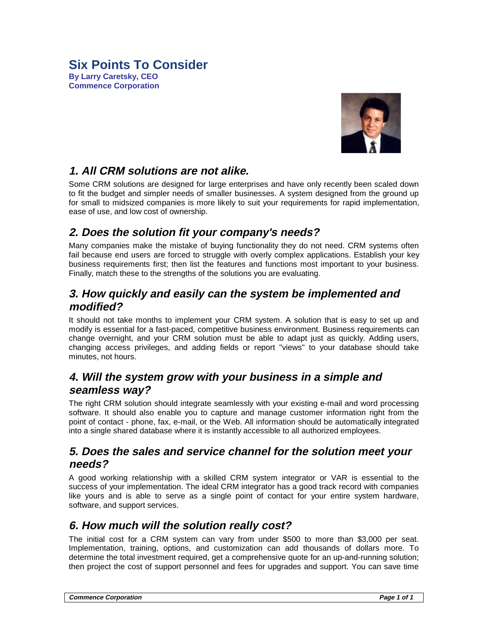#### **Six Points To Consider By Larry Caretsky, CEO Commence Corporation**



# **1. All CRM solutions are not alike.**

Some CRM solutions are designed for large enterprises and have only recently been scaled down to fit the budget and simpler needs of smaller businesses. A system designed from the ground up for small to midsized companies is more likely to suit your requirements for rapid implementation, ease of use, and low cost of ownership.

## **2. Does the solution fit your company's needs?**

Many companies make the mistake of buying functionality they do not need. CRM systems often fail because end users are forced to struggle with overly complex applications. Establish your key business requirements first; then list the features and functions most important to your business. Finally, match these to the strengths of the solutions you are evaluating.

## **3. How quickly and easily can the system be implemented and modified?**

It should not take months to implement your CRM system. A solution that is easy to set up and modify is essential for a fast-paced, competitive business environment. Business requirements can change overnight, and your CRM solution must be able to adapt just as quickly. Adding users, changing access privileges, and adding fields or report "views" to your database should take minutes, not hours.

#### **4. Will the system grow with your business in a simple and seamless way?**

The right CRM solution should integrate seamlessly with your existing e-mail and word processing software. It should also enable you to capture and manage customer information right from the point of contact - phone, fax, e-mail, or the Web. All information should be automatically integrated into a single shared database where it is instantly accessible to all authorized employees.

#### **5. Does the sales and service channel for the solution meet your needs?**

A good working relationship with a skilled CRM system integrator or VAR is essential to the success of your implementation. The ideal CRM integrator has a good track record with companies like yours and is able to serve as a single point of contact for your entire system hardware, software, and support services.

## **6. How much will the solution really cost?**

The initial cost for a CRM system can vary from under \$500 to more than \$3,000 per seat. Implementation, training, options, and customization can add thousands of dollars more. To determine the total investment required, get a comprehensive quote for an up-and-running solution; then project the cost of support personnel and fees for upgrades and support. You can save time